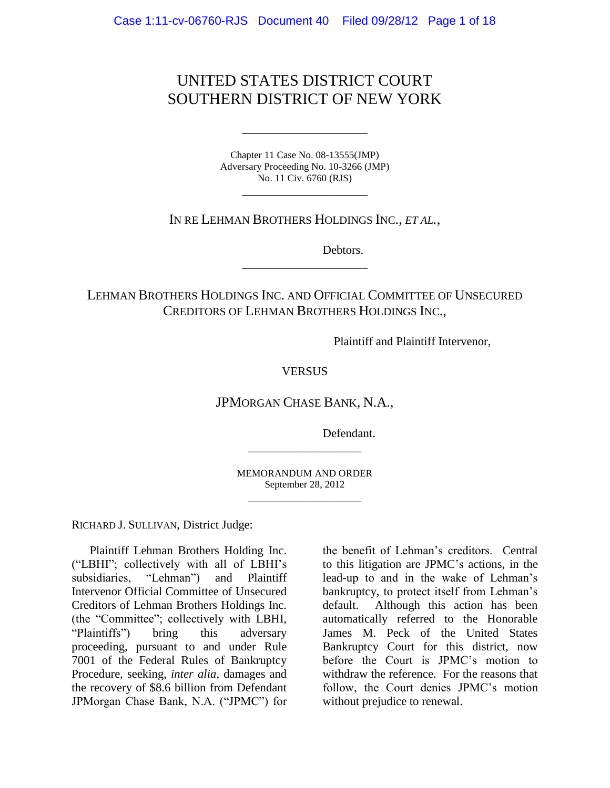# UNITED STATES DISTRICT COURT SOUTHERN DISTRICT OF NEW YORK

Chapter 11 Case No. 08-13555(JMP) Adversary Proceeding No. 10-3266 (JMP) No. 11 Civ. 6760 (RJS)

\_\_\_\_\_\_\_\_\_\_\_\_\_\_\_\_\_\_\_\_\_

\_\_\_\_\_\_\_\_\_\_\_\_\_\_\_\_\_\_\_\_\_

IN RE LEHMAN BROTHERS HOLDINGS INC., *ET AL.*,

Debtors.

LEHMAN BROTHERS HOLDINGS INC. AND OFFICIAL COMMITTEE OF UNSECURED CREDITORS OF LEHMAN BROTHERS HOLDINGS INC.,

\_\_\_\_\_\_\_\_\_\_\_\_\_\_\_\_\_\_\_\_\_

Plaintiff and Plaintiff Intervenor,

**VERSUS** 

JPMORGAN CHASE BANK, N.A.,

Defendant.

MEMORANDUM AND ORDER September 28, 2012 \_\_\_\_\_\_\_\_\_\_\_\_\_\_\_\_\_\_\_

\_\_\_\_\_\_\_\_\_\_\_\_\_\_\_\_\_\_\_

RICHARD J. SULLIVAN, District Judge:

Plaintiff Lehman Brothers Holding Inc. ("LBHI"; collectively with all of LBHI's subsidiaries, "Lehman") and Plaintiff Intervenor Official Committee of Unsecured Creditors of Lehman Brothers Holdings Inc. (the "Committee"; collectively with LBHI, "Plaintiffs") bring this adversary proceeding, pursuant to and under Rule 7001 of the Federal Rules of Bankruptcy Procedure, seeking, *inter alia*, damages and the recovery of \$8.6 billion from Defendant JPMorgan Chase Bank, N.A. ("JPMC") for

the benefit of Lehman's creditors. Central to this litigation are JPMC's actions, in the lead-up to and in the wake of Lehman's bankruptcy, to protect itself from Lehman's default. Although this action has been automatically referred to the Honorable James M. Peck of the United States Bankruptcy Court for this district, now before the Court is JPMC's motion to withdraw the reference. For the reasons that follow, the Court denies JPMC's motion without prejudice to renewal.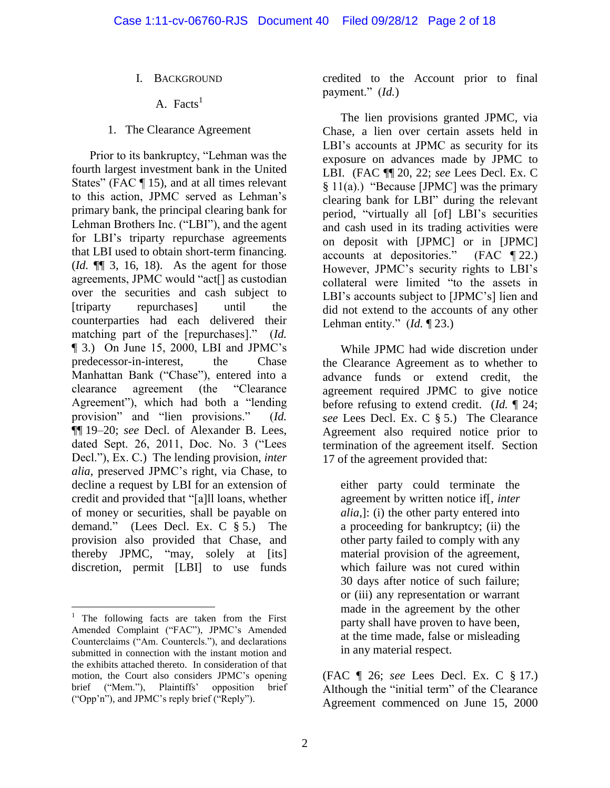- I. BACKGROUND
	- A. Facts<sup>1</sup>
- 1. The Clearance Agreement

Prior to its bankruptcy, "Lehman was the fourth largest investment bank in the United States" (FAC ¶ 15), and at all times relevant to this action, JPMC served as Lehman's primary bank, the principal clearing bank for Lehman Brothers Inc. ("LBI"), and the agent for LBI's triparty repurchase agreements that LBI used to obtain short-term financing. (*Id.* ¶¶ 3, 16, 18). As the agent for those agreements, JPMC would "act[] as custodian over the securities and cash subject to [triparty repurchases] until the counterparties had each delivered their matching part of the [repurchases]." (*Id.* ¶ 3.) On June 15, 2000, LBI and JPMC's predecessor-in-interest, the Chase Manhattan Bank ("Chase"), entered into a clearance agreement (the "Clearance Agreement"), which had both a "lending provision" and "lien provisions." (*Id.* ¶¶ 19–20; *see* Decl. of Alexander B. Lees, dated Sept. 26, 2011, Doc. No. 3 ("Lees Decl."), Ex. C.) The lending provision, *inter alia*, preserved JPMC's right, via Chase, to decline a request by LBI for an extension of credit and provided that "[a]ll loans, whether of money or securities, shall be payable on demand." (Lees Decl. Ex. C § 5.) The provision also provided that Chase, and thereby JPMC, "may, solely at [its] discretion, permit [LBI] to use funds

credited to the Account prior to final payment." (*Id.*)

The lien provisions granted JPMC, via Chase, a lien over certain assets held in LBI's accounts at JPMC as security for its exposure on advances made by JPMC to LBI. (FAC ¶¶ 20, 22; *see* Lees Decl. Ex. C § 11(a).) "Because [JPMC] was the primary clearing bank for LBI" during the relevant period, "virtually all [of] LBI's securities and cash used in its trading activities were on deposit with [JPMC] or in [JPMC] accounts at depositories." (FAC ¶ 22.) However, JPMC's security rights to LBI's collateral were limited "to the assets in LBI's accounts subject to [JPMC's] lien and did not extend to the accounts of any other Lehman entity." (*Id.* ¶ 23.)

While JPMC had wide discretion under the Clearance Agreement as to whether to advance funds or extend credit, the agreement required JPMC to give notice before refusing to extend credit. (*Id.* ¶ 24; *see* Lees Decl. Ex. C § 5.) The Clearance Agreement also required notice prior to termination of the agreement itself. Section 17 of the agreement provided that:

either party could terminate the agreement by written notice if[, *inter alia*,]: (i) the other party entered into a proceeding for bankruptcy; (ii) the other party failed to comply with any material provision of the agreement, which failure was not cured within 30 days after notice of such failure; or (iii) any representation or warrant made in the agreement by the other party shall have proven to have been, at the time made, false or misleading in any material respect.

(FAC ¶ 26; *see* Lees Decl. Ex. C § 17.) Although the "initial term" of the Clearance Agreement commenced on June 15, 2000

 $\overline{a}$  $<sup>1</sup>$  The following facts are taken from the First</sup> Amended Complaint ("FAC"), JPMC's Amended Counterclaims ("Am. Countercls."), and declarations submitted in connection with the instant motion and the exhibits attached thereto. In consideration of that motion, the Court also considers JPMC's opening brief ("Mem."), Plaintiffs' opposition brief ("Opp'n"), and JPMC's reply brief ("Reply").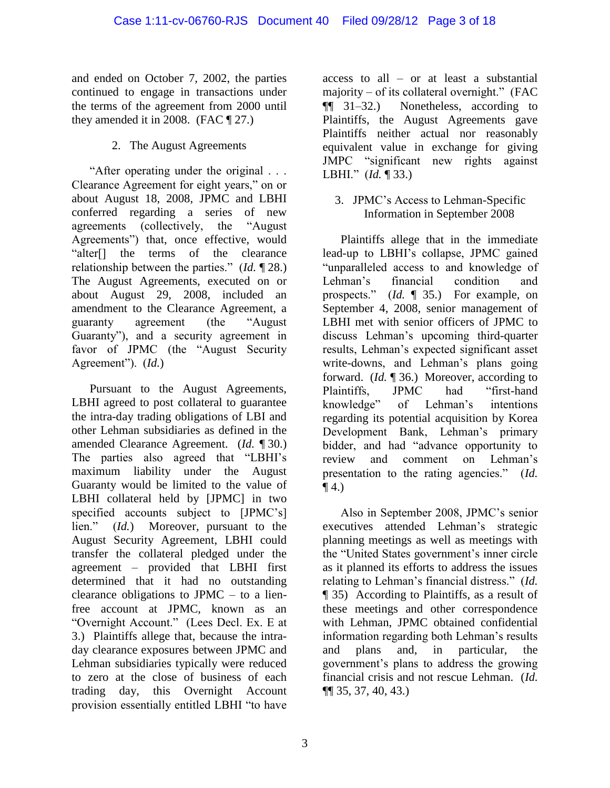and ended on October 7, 2002, the parties continued to engage in transactions under the terms of the agreement from 2000 until they amended it in 2008. (FAC  $\P$  27.)

## 2. The August Agreements

"After operating under the original . . . Clearance Agreement for eight years," on or about August 18, 2008, JPMC and LBHI conferred regarding a series of new agreements (collectively, the "August Agreements") that, once effective, would "alter[] the terms of the clearance relationship between the parties." (*Id.* ¶ 28.) The August Agreements, executed on or about August 29, 2008, included an amendment to the Clearance Agreement, a guaranty agreement (the "August Guaranty"), and a security agreement in favor of JPMC (the "August Security Agreement"). (*Id.*)

Pursuant to the August Agreements, LBHI agreed to post collateral to guarantee the intra-day trading obligations of LBI and other Lehman subsidiaries as defined in the amended Clearance Agreement. (*Id.* ¶ 30.) The parties also agreed that "LBHI's maximum liability under the August Guaranty would be limited to the value of LBHI collateral held by [JPMC] in two specified accounts subject to [JPMC's] lien." (*Id.*) Moreover, pursuant to the August Security Agreement, LBHI could transfer the collateral pledged under the agreement – provided that LBHI first determined that it had no outstanding clearance obligations to JPMC – to a lienfree account at JPMC, known as an "Overnight Account." (Lees Decl. Ex. E at 3.) Plaintiffs allege that, because the intraday clearance exposures between JPMC and Lehman subsidiaries typically were reduced to zero at the close of business of each trading day, this Overnight Account provision essentially entitled LBHI "to have

access to all – or at least a substantial majority – of its collateral overnight." (FAC ¶¶ 31–32.) Nonetheless, according to Plaintiffs, the August Agreements gave Plaintiffs neither actual nor reasonably equivalent value in exchange for giving JMPC "significant new rights against LBHI." (*Id.* ¶ 33.)

3. JPMC's Access to Lehman-Specific Information in September 2008

Plaintiffs allege that in the immediate lead-up to LBHI's collapse, JPMC gained "unparalleled access to and knowledge of Lehman's financial condition and prospects." (*Id.* ¶ 35.) For example, on September 4, 2008, senior management of LBHI met with senior officers of JPMC to discuss Lehman's upcoming third-quarter results, Lehman's expected significant asset write-downs, and Lehman's plans going forward. (*Id.* ¶ 36.) Moreover, according to Plaintiffs, JPMC had "first-hand knowledge" of Lehman's intentions regarding its potential acquisition by Korea Development Bank, Lehman's primary bidder, and had "advance opportunity to review and comment on Lehman's presentation to the rating agencies." (*Id.*  $\P$  4.)

Also in September 2008, JPMC's senior executives attended Lehman's strategic planning meetings as well as meetings with the "United States government's inner circle as it planned its efforts to address the issues relating to Lehman's financial distress." (*Id.* ¶ 35) According to Plaintiffs, as a result of these meetings and other correspondence with Lehman, JPMC obtained confidential information regarding both Lehman's results and plans and, in particular, the government's plans to address the growing financial crisis and not rescue Lehman. (*Id.* ¶¶ 35, 37, 40, 43.)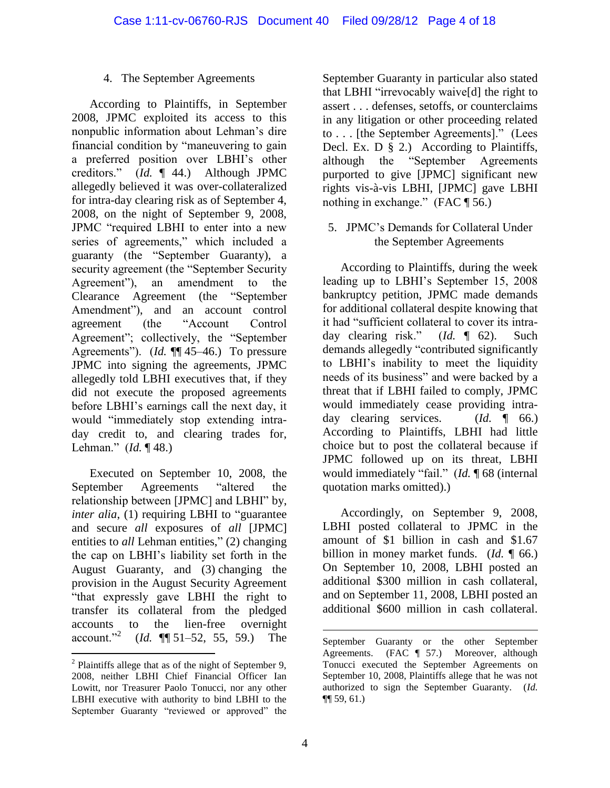#### 4. The September Agreements

According to Plaintiffs, in September 2008, JPMC exploited its access to this nonpublic information about Lehman's dire financial condition by "maneuvering to gain a preferred position over LBHI's other creditors." (*Id.* ¶ 44.) Although JPMC allegedly believed it was over-collateralized for intra-day clearing risk as of September 4, 2008, on the night of September 9, 2008, JPMC "required LBHI to enter into a new series of agreements," which included a guaranty (the "September Guaranty), a security agreement (the "September Security Agreement"), an amendment to the Clearance Agreement (the "September Amendment"), and an account control agreement (the "Account Control Agreement"; collectively, the "September Agreements"). (*Id.* ¶ 45–46.) To pressure JPMC into signing the agreements, JPMC allegedly told LBHI executives that, if they did not execute the proposed agreements before LBHI's earnings call the next day, it would "immediately stop extending intraday credit to, and clearing trades for, Lehman." (*Id.* ¶ 48.)

Executed on September 10, 2008, the September Agreements "altered the relationship between [JPMC] and LBHI" by, *inter alia*, (1) requiring LBHI to "guarantee and secure *all* exposures of *all* [JPMC] entities to *all* Lehman entities," (2) changing the cap on LBHI's liability set forth in the August Guaranty, and (3) changing the provision in the August Security Agreement "that expressly gave LBHI the right to transfer its collateral from the pledged accounts to the lien-free overnight account."<sup>2</sup> (*Id.* ¶¶ 51–52, 55, 59.) The

September Guaranty in particular also stated that LBHI "irrevocably waive[d] the right to assert . . . defenses, setoffs, or counterclaims in any litigation or other proceeding related to . . . [the September Agreements]." (Lees Decl. Ex. D  $\bar{\S}$  2.) According to Plaintiffs, although the "September Agreements purported to give [JPMC] significant new rights vis-à-vis LBHI, [JPMC] gave LBHI nothing in exchange." (FAC \[ 56.)

5. JPMC's Demands for Collateral Under the September Agreements

According to Plaintiffs, during the week leading up to LBHI's September 15, 2008 bankruptcy petition, JPMC made demands for additional collateral despite knowing that it had "sufficient collateral to cover its intraday clearing risk." (*Id.* ¶ 62). Such demands allegedly "contributed significantly to LBHI's inability to meet the liquidity needs of its business" and were backed by a threat that if LBHI failed to comply, JPMC would immediately cease providing intraday clearing services. (*Id.* ¶ 66.) According to Plaintiffs, LBHI had little choice but to post the collateral because if JPMC followed up on its threat, LBHI would immediately "fail." (*Id.* ¶ 68 (internal quotation marks omitted).)

Accordingly, on September 9, 2008, LBHI posted collateral to JPMC in the amount of \$1 billion in cash and \$1.67 billion in money market funds. (*Id.* ¶ 66.) On September 10, 2008, LBHI posted an additional \$300 million in cash collateral, and on September 11, 2008, LBHI posted an additional \$600 million in cash collateral.

 $\overline{a}$ 

 $\overline{a}$  $2$  Plaintiffs allege that as of the night of September 9, 2008, neither LBHI Chief Financial Officer Ian Lowitt, nor Treasurer Paolo Tonucci, nor any other LBHI executive with authority to bind LBHI to the September Guaranty "reviewed or approved" the

September Guaranty or the other September Agreements. (FAC ¶ 57.) Moreover, although Tonucci executed the September Agreements on September 10, 2008, Plaintiffs allege that he was not authorized to sign the September Guaranty. (*Id.* ¶¶ 59, 61.)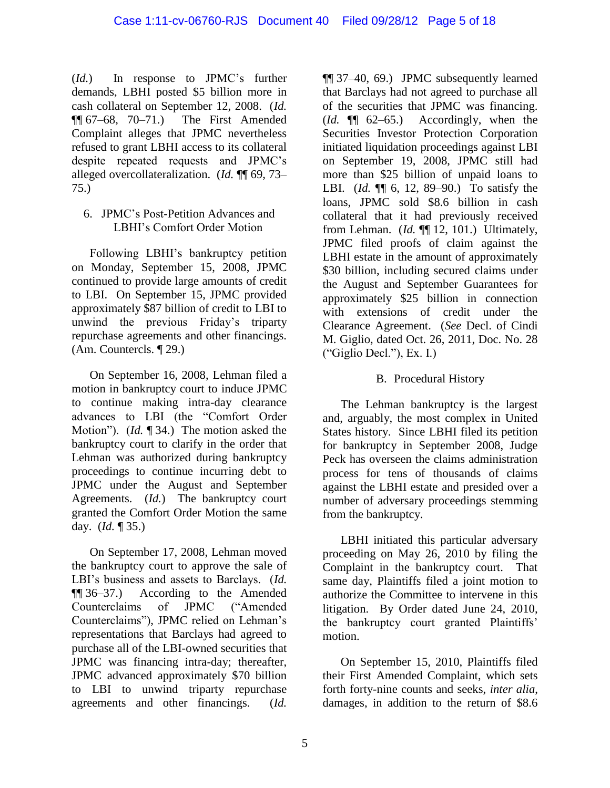(*Id.*) In response to JPMC's further demands, LBHI posted \$5 billion more in cash collateral on September 12, 2008. (*Id.*  $\P$ [ $\sqrt{67-68}$ , 70–71.) The First Amended Complaint alleges that JPMC nevertheless refused to grant LBHI access to its collateral despite repeated requests and JPMC's alleged overcollateralization. (*Id.* ¶¶ 69, 73– 75.)

#### 6. JPMC's Post-Petition Advances and LBHI's Comfort Order Motion

Following LBHI's bankruptcy petition on Monday, September 15, 2008, JPMC continued to provide large amounts of credit to LBI. On September 15, JPMC provided approximately \$87 billion of credit to LBI to unwind the previous Friday's triparty repurchase agreements and other financings. (Am. Countercls. ¶ 29.)

On September 16, 2008, Lehman filed a motion in bankruptcy court to induce JPMC to continue making intra-day clearance advances to LBI (the "Comfort Order Motion"). (*Id.* ¶ 34.) The motion asked the bankruptcy court to clarify in the order that Lehman was authorized during bankruptcy proceedings to continue incurring debt to JPMC under the August and September Agreements. (*Id.*) The bankruptcy court granted the Comfort Order Motion the same day. (*Id.* ¶ 35.)

On September 17, 2008, Lehman moved the bankruptcy court to approve the sale of LBI's business and assets to Barclays. (*Id.* ¶¶ 36–37.) According to the Amended Counterclaims of JPMC ("Amended Counterclaims"), JPMC relied on Lehman's representations that Barclays had agreed to purchase all of the LBI-owned securities that JPMC was financing intra-day; thereafter, JPMC advanced approximately \$70 billion to LBI to unwind triparty repurchase agreements and other financings. (*Id.*

¶¶ 37–40, 69.) JPMC subsequently learned that Barclays had not agreed to purchase all of the securities that JPMC was financing. (*Id.* ¶¶ 62–65.) Accordingly, when the Securities Investor Protection Corporation initiated liquidation proceedings against LBI on September 19, 2008, JPMC still had more than \$25 billion of unpaid loans to LBI. (*Id.* ¶¶ 6, 12, 89–90.) To satisfy the loans, JPMC sold \$8.6 billion in cash collateral that it had previously received from Lehman. (*Id.* ¶¶ 12, 101.) Ultimately, JPMC filed proofs of claim against the LBHI estate in the amount of approximately \$30 billion, including secured claims under the August and September Guarantees for approximately \$25 billion in connection with extensions of credit under the Clearance Agreement. (*See* Decl. of Cindi M. Giglio, dated Oct. 26, 2011, Doc. No. 28 ("Giglio Decl."), Ex. I.)

### B. Procedural History

The Lehman bankruptcy is the largest and, arguably, the most complex in United States history. Since LBHI filed its petition for bankruptcy in September 2008, Judge Peck has overseen the claims administration process for tens of thousands of claims against the LBHI estate and presided over a number of adversary proceedings stemming from the bankruptcy.

LBHI initiated this particular adversary proceeding on May 26, 2010 by filing the Complaint in the bankruptcy court. That same day, Plaintiffs filed a joint motion to authorize the Committee to intervene in this litigation. By Order dated June 24, 2010, the bankruptcy court granted Plaintiffs' motion.

On September 15, 2010, Plaintiffs filed their First Amended Complaint, which sets forth forty-nine counts and seeks, *inter alia*, damages, in addition to the return of \$8.6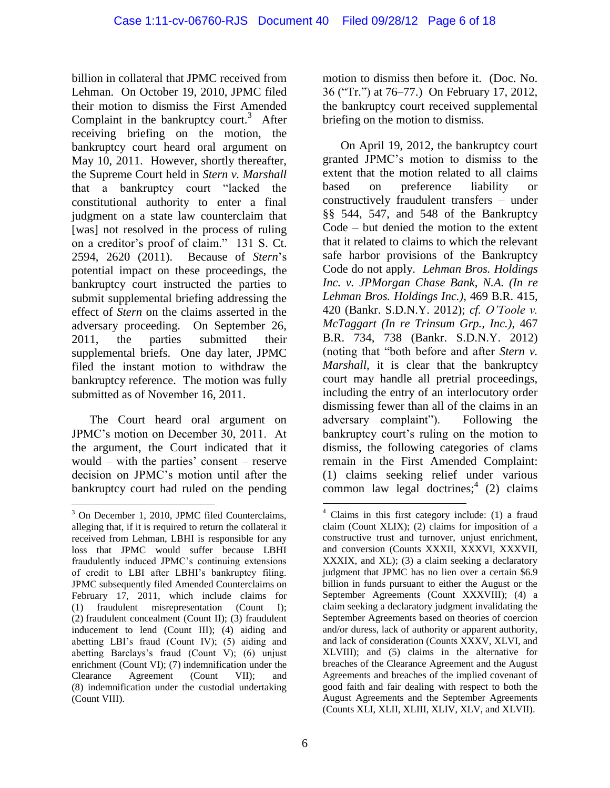billion in collateral that JPMC received from Lehman. On October 19, 2010, JPMC filed their motion to dismiss the First Amended Complaint in the bankruptcy court.<sup>3</sup> After receiving briefing on the motion, the bankruptcy court heard oral argument on May 10, 2011. However, shortly thereafter, the Supreme Court held in *Stern v. Marshall* that a bankruptcy court "lacked the constitutional authority to enter a final judgment on a state law counterclaim that [was] not resolved in the process of ruling on a creditor's proof of claim." 131 S. Ct. 2594, 2620 (2011). Because of *Stern*'s potential impact on these proceedings, the bankruptcy court instructed the parties to submit supplemental briefing addressing the effect of *Stern* on the claims asserted in the adversary proceeding. On September 26, 2011, the parties submitted their supplemental briefs. One day later, JPMC filed the instant motion to withdraw the bankruptcy reference. The motion was fully submitted as of November 16, 2011.

The Court heard oral argument on JPMC's motion on December 30, 2011. At the argument, the Court indicated that it would – with the parties' consent – reserve decision on JPMC's motion until after the bankruptcy court had ruled on the pending

 $\overline{a}$ 

motion to dismiss then before it. (Doc. No. 36 ("Tr.") at 76–77.) On February 17, 2012, the bankruptcy court received supplemental briefing on the motion to dismiss.

On April 19, 2012, the bankruptcy court granted JPMC's motion to dismiss to the extent that the motion related to all claims based on preference liability or constructively fraudulent transfers – under §§ 544, 547, and 548 of the Bankruptcy Code – but denied the motion to the extent that it related to claims to which the relevant safe harbor provisions of the Bankruptcy Code do not apply. *Lehman Bros. Holdings Inc. v. JPMorgan Chase Bank*, *N.A. (In re Lehman Bros. Holdings Inc.)*, 469 B.R. 415, 420 (Bankr. S.D.N.Y. 2012); *cf. O'Toole v. McTaggart (In re Trinsum Grp., Inc.)*, 467 B.R. 734, 738 (Bankr. S.D.N.Y. 2012) (noting that "both before and after *Stern v. Marshall*, it is clear that the bankruptcy court may handle all pretrial proceedings, including the entry of an interlocutory order dismissing fewer than all of the claims in an adversary complaint"). Following the bankruptcy court's ruling on the motion to dismiss, the following categories of clams remain in the First Amended Complaint: (1) claims seeking relief under various common law legal doctrines;<sup>4</sup> (2) claims

<sup>&</sup>lt;sup>3</sup> On December 1, 2010, JPMC filed Counterclaims, alleging that, if it is required to return the collateral it received from Lehman, LBHI is responsible for any loss that JPMC would suffer because LBHI fraudulently induced JPMC's continuing extensions of credit to LBI after LBHI's bankruptcy filing. JPMC subsequently filed Amended Counterclaims on February 17, 2011, which include claims for (1) fraudulent misrepresentation (Count I); (2) fraudulent concealment (Count II); (3) fraudulent inducement to lend (Count III); (4) aiding and abetting LBI's fraud (Count IV); (5) aiding and abetting Barclays's fraud (Count V); (6) unjust enrichment (Count VI); (7) indemnification under the Clearance Agreement (Count VII); and (8) indemnification under the custodial undertaking (Count VIII).

 $\overline{a}$ <sup>4</sup> Claims in this first category include: (1) a fraud claim (Count XLIX); (2) claims for imposition of a constructive trust and turnover, unjust enrichment, and conversion (Counts XXXII, XXXVI, XXXVII, XXXIX, and XL); (3) a claim seeking a declaratory judgment that JPMC has no lien over a certain \$6.9 billion in funds pursuant to either the August or the September Agreements (Count XXXVIII); (4) a claim seeking a declaratory judgment invalidating the September Agreements based on theories of coercion and/or duress, lack of authority or apparent authority, and lack of consideration (Counts XXXV, XLVI, and XLVIII); and (5) claims in the alternative for breaches of the Clearance Agreement and the August Agreements and breaches of the implied covenant of good faith and fair dealing with respect to both the August Agreements and the September Agreements (Counts XLI, XLII, XLIII, XLIV, XLV, and XLVII).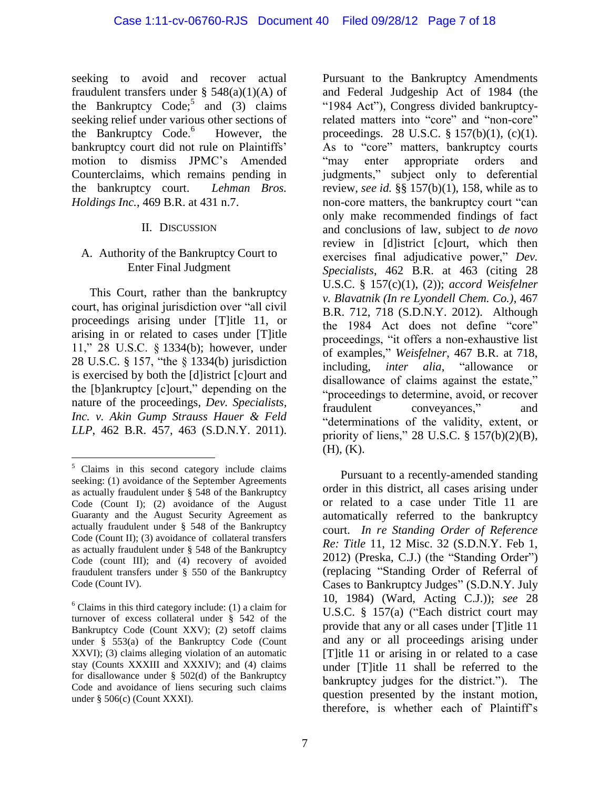seeking to avoid and recover actual fraudulent transfers under  $\S$  548(a)(1)(A) of the Bankruptcy Code;<sup>5</sup> and  $(3)$  claims seeking relief under various other sections of the Bankruptcy Code.<sup>6</sup> However, the bankruptcy court did not rule on Plaintiffs' motion to dismiss JPMC's Amended Counterclaims, which remains pending in the bankruptcy court. *Lehman Bros. Holdings Inc.*, 469 B.R. at 431 n.7.

#### II. DISCUSSION

#### A. Authority of the Bankruptcy Court to Enter Final Judgment

This Court, rather than the bankruptcy court, has original jurisdiction over "all civil proceedings arising under [T]itle 11, or arising in or related to cases under [T]itle 11," 28 U.S.C. § 1334(b); however, under 28 U.S.C. § 157, "the § 1334(b) jurisdiction is exercised by both the [d]istrict [c]ourt and the [b]ankruptcy [c]ourt," depending on the nature of the proceedings, *Dev. Specialists, Inc. v. Akin Gump Strauss Hauer & Feld LLP*, 462 B.R. 457, 463 (S.D.N.Y. 2011).

 $\overline{a}$ 

Pursuant to the Bankruptcy Amendments and Federal Judgeship Act of 1984 (the "1984 Act"), Congress divided bankruptcyrelated matters into "core" and "non-core" proceedings. 28 U.S.C. § 157(b)(1), (c)(1). As to "core" matters, bankruptcy courts "may enter appropriate orders and judgments," subject only to deferential review, *see id.* §§ 157(b)(1), 158, while as to non-core matters, the bankruptcy court "can only make recommended findings of fact and conclusions of law, subject to *de novo* review in [d]istrict [c]ourt, which then exercises final adjudicative power," *Dev. Specialists*, 462 B.R. at 463 (citing 28 U.S.C. § 157(c)(1), (2)); *accord Weisfelner v. Blavatnik (In re Lyondell Chem. Co.)*, 467 B.R. 712, 718 (S.D.N.Y. 2012). Although the 1984 Act does not define "core" proceedings, "it offers a non-exhaustive list of examples," *Weisfelner*, 467 B.R. at 718, including, *inter alia*, "allowance or disallowance of claims against the estate," "proceedings to determine, avoid, or recover fraudulent conveyances," and "determinations of the validity, extent, or priority of liens," 28 U.S.C. § 157(b)(2)(B), (H), (K).

Pursuant to a recently-amended standing order in this district, all cases arising under or related to a case under Title 11 are automatically referred to the bankruptcy court. *In re Standing Order of Reference Re: Title* 11, 12 Misc. 32 (S.D.N.Y. Feb 1, 2012) (Preska, C.J.) (the "Standing Order") (replacing "Standing Order of Referral of Cases to Bankruptcy Judges" (S.D.N.Y. July 10, 1984) (Ward, Acting C.J.)); *see* 28 U.S.C. § 157(a) ("Each district court may provide that any or all cases under [T]itle 11 and any or all proceedings arising under [T]itle 11 or arising in or related to a case under [T]itle 11 shall be referred to the bankruptcy judges for the district."). The question presented by the instant motion, therefore, is whether each of Plaintiff's

 $5$  Claims in this second category include claims seeking: (1) avoidance of the September Agreements as actually fraudulent under § 548 of the Bankruptcy Code (Count I); (2) avoidance of the August Guaranty and the August Security Agreement as actually fraudulent under § 548 of the Bankruptcy Code (Count II); (3) avoidance of collateral transfers as actually fraudulent under § 548 of the Bankruptcy Code (count III); and (4) recovery of avoided fraudulent transfers under § 550 of the Bankruptcy Code (Count IV).

 $6$  Claims in this third category include: (1) a claim for turnover of excess collateral under § 542 of the Bankruptcy Code (Count XXV); (2) setoff claims under § 553(a) of the Bankruptcy Code (Count XXVI); (3) claims alleging violation of an automatic stay (Counts XXXIII and XXXIV); and (4) claims for disallowance under  $\S$  502(d) of the Bankruptcy Code and avoidance of liens securing such claims under § 506(c) (Count XXXI).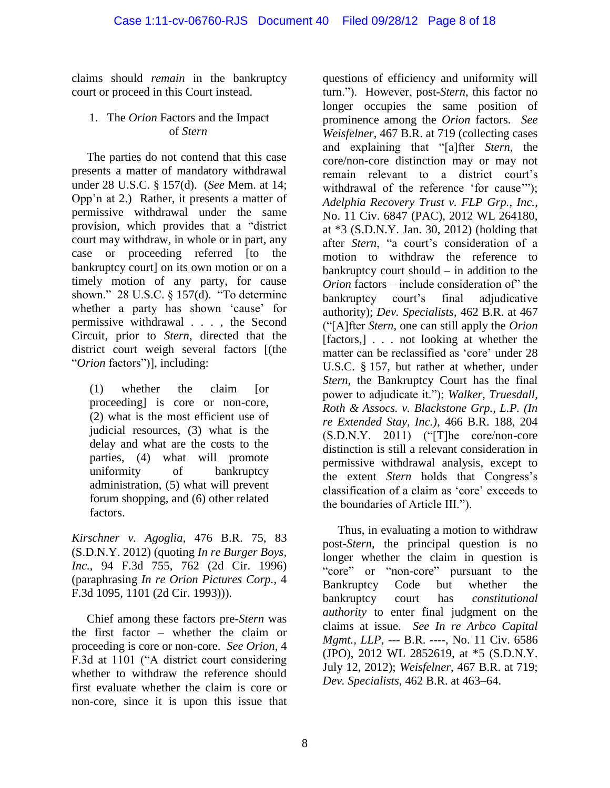claims should *remain* in the bankruptcy court or proceed in this Court instead.

#### 1. The *Orion* Factors and the Impact of *Stern*

The parties do not contend that this case presents a matter of mandatory withdrawal under 28 U.S.C. § 157(d). (*See* Mem. at 14; Opp'n at 2.) Rather, it presents a matter of permissive withdrawal under the same provision, which provides that a "district court may withdraw, in whole or in part, any case or proceeding referred [to the bankruptcy court] on its own motion or on a timely motion of any party, for cause shown." 28 U.S.C. § 157(d). "To determine whether a party has shown 'cause' for permissive withdrawal . . . , the Second Circuit, prior to *Stern*, directed that the district court weigh several factors [(the "*Orion* factors")], including:

(1) whether the claim [or proceeding] is core or non-core, (2) what is the most efficient use of judicial resources, (3) what is the delay and what are the costs to the parties, (4) what will promote uniformity of bankruptcy administration, (5) what will prevent forum shopping, and (6) other related factors.

*Kirschner v. Agoglia*, 476 B.R. 75, 83 (S.D.N.Y. 2012) (quoting *In re Burger Boys, Inc.*, 94 F.3d 755, 762 (2d Cir. 1996) (paraphrasing *In re Orion Pictures Corp.*, 4 F.3d 1095, 1101 (2d Cir. 1993))).

Chief among these factors pre-*Stern* was the first factor – whether the claim or proceeding is core or non-core. *See Orion*, 4 F.3d at 1101 ("A district court considering whether to withdraw the reference should first evaluate whether the claim is core or non-core, since it is upon this issue that

questions of efficiency and uniformity will turn."). However, post-*Stern*, this factor no longer occupies the same position of prominence among the *Orion* factors. *See Weisfelner*, 467 B.R. at 719 (collecting cases and explaining that "[a]fter *Stern*, the core/non-core distinction may or may not remain relevant to a district court's withdrawal of the reference 'for cause'"); *Adelphia Recovery Trust v. FLP Grp., Inc.*, No. 11 Civ. 6847 (PAC), 2012 WL 264180, at \*3 (S.D.N.Y. Jan. 30, 2012) (holding that after *Stern*, "a court's consideration of a motion to withdraw the reference to bankruptcy court should – in addition to the *Orion* factors – include consideration of" the bankruptcy court's final adjudicative authority); *Dev. Specialists*, 462 B.R. at 467 ("[A]fter *Stern*, one can still apply the *Orion* [factors,] . . . not looking at whether the matter can be reclassified as 'core' under 28 U.S.C. § 157, but rather at whether, under *Stern*, the Bankruptcy Court has the final power to adjudicate it."); *Walker, Truesdall, Roth & Assocs. v. Blackstone Grp., L.P. (In re Extended Stay, Inc.)*, 466 B.R. 188, 204  $(S.D.N.Y. 2011)$  ("The core/non-core distinction is still a relevant consideration in permissive withdrawal analysis, except to the extent *Stern* holds that Congress's classification of a claim as 'core' exceeds to the boundaries of Article III.").

Thus, in evaluating a motion to withdraw post-*Stern*, the principal question is no longer whether the claim in question is "core" or "non-core" pursuant to the Bankruptcy Code but whether the bankruptcy court has *constitutional authority* to enter final judgment on the claims at issue. *See In re Arbco Capital Mgmt., LLP*, --- B.R. ----, No. 11 Civ. 6586 (JPO), 2012 WL 2852619, at \*5 (S.D.N.Y. July 12, 2012); *Weisfelner*, 467 B.R. at 719; *Dev. Specialists*, 462 B.R. at 463–64.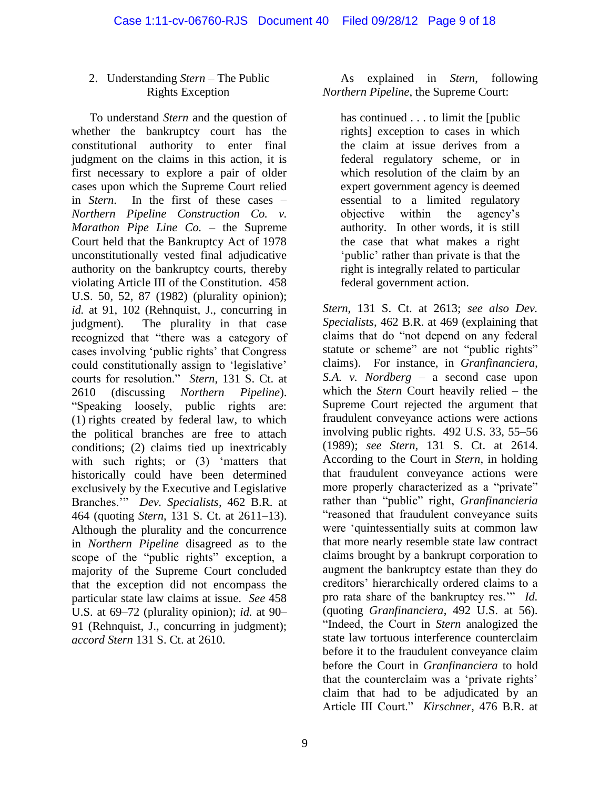#### 2. Understanding *Stern* – The Public Rights Exception

To understand *Stern* and the question of whether the bankruptcy court has the constitutional authority to enter final judgment on the claims in this action, it is first necessary to explore a pair of older cases upon which the Supreme Court relied in *Stern*. In the first of these cases – *Northern Pipeline Construction Co. v. Marathon Pipe Line Co.* – the Supreme Court held that the Bankruptcy Act of 1978 unconstitutionally vested final adjudicative authority on the bankruptcy courts, thereby violating Article III of the Constitution. 458 U.S. 50, 52, 87 (1982) (plurality opinion); id. at 91, 102 (Rehnquist, J., concurring in judgment). The plurality in that case recognized that "there was a category of cases involving 'public rights' that Congress could constitutionally assign to 'legislative' courts for resolution." *Stern*, 131 S. Ct. at 2610 (discussing *Northern Pipeline*). "Speaking loosely, public rights are: (1) rights created by federal law, to which the political branches are free to attach conditions; (2) claims tied up inextricably with such rights; or (3) 'matters that historically could have been determined exclusively by the Executive and Legislative Branches.'" *Dev. Specialists*, 462 B.R. at 464 (quoting *Stern*, 131 S. Ct. at 2611–13). Although the plurality and the concurrence in *Northern Pipeline* disagreed as to the scope of the "public rights" exception, a majority of the Supreme Court concluded that the exception did not encompass the particular state law claims at issue. *See* 458 U.S. at 69–72 (plurality opinion); *id.* at 90– 91 (Rehnquist, J., concurring in judgment); *accord Stern* 131 S. Ct. at 2610.

As explained in *Stern*, following *Northern Pipeline*, the Supreme Court:

has continued . . . to limit the [public rights] exception to cases in which the claim at issue derives from a federal regulatory scheme, or in which resolution of the claim by an expert government agency is deemed essential to a limited regulatory objective within the agency's authority. In other words, it is still the case that what makes a right 'public' rather than private is that the right is integrally related to particular federal government action.

*Stern*, 131 S. Ct. at 2613; *see also Dev. Specialists*, 462 B.R. at 469 (explaining that claims that do "not depend on any federal statute or scheme" are not "public rights" claims). For instance, in *Granfinanciera, S.A. v. Nordberg* – a second case upon which the *Stern* Court heavily relied – the Supreme Court rejected the argument that fraudulent conveyance actions were actions involving public rights. 492 U.S. 33, 55–56 (1989); *see Stern*, 131 S. Ct. at 2614. According to the Court in *Stern*, in holding that fraudulent conveyance actions were more properly characterized as a "private" rather than "public" right, *Granfinancieria* "reasoned that fraudulent conveyance suits were 'quintessentially suits at common law that more nearly resemble state law contract claims brought by a bankrupt corporation to augment the bankruptcy estate than they do creditors' hierarchically ordered claims to a pro rata share of the bankruptcy res.'" *Id.* (quoting *Granfinanciera*, 492 U.S. at 56). "Indeed, the Court in *Stern* analogized the state law tortuous interference counterclaim before it to the fraudulent conveyance claim before the Court in *Granfinanciera* to hold that the counterclaim was a 'private rights' claim that had to be adjudicated by an Article III Court." *Kirschner*, 476 B.R. at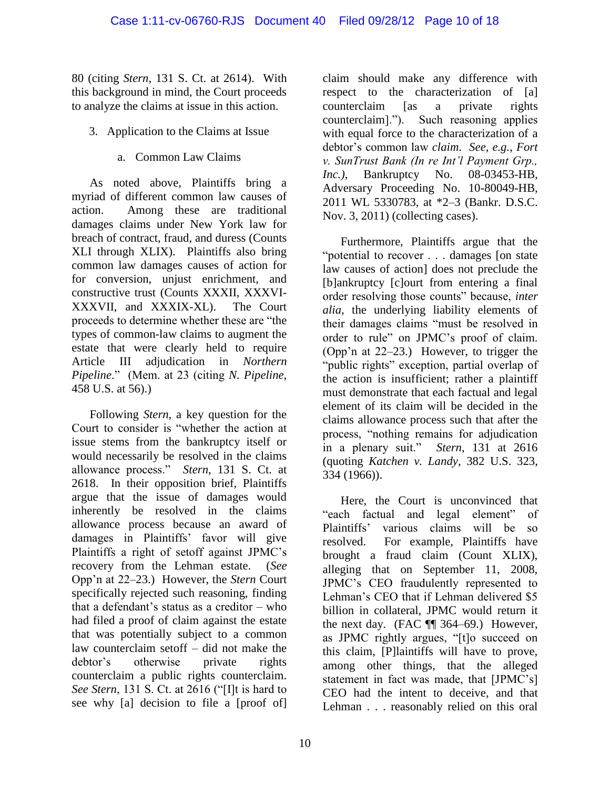80 (citing *Stern*, 131 S. Ct. at 2614). With this background in mind, the Court proceeds to analyze the claims at issue in this action.

- 3. Application to the Claims at Issue
	- a. Common Law Claims

As noted above, Plaintiffs bring a myriad of different common law causes of action. Among these are traditional damages claims under New York law for breach of contract, fraud, and duress (Counts XLI through XLIX). Plaintiffs also bring common law damages causes of action for for conversion, unjust enrichment, and constructive trust (Counts XXXII, XXXVI-XXXVII, and XXXIX-XL). The Court proceeds to determine whether these are "the types of common-law claims to augment the estate that were clearly held to require Article III adjudication in *Northern Pipeline*." (Mem. at 23 (citing *N. Pipeline*, 458 U.S. at 56).)

Following *Stern*, a key question for the Court to consider is "whether the action at issue stems from the bankruptcy itself or would necessarily be resolved in the claims allowance process." *Stern*, 131 S. Ct. at 2618. In their opposition brief, Plaintiffs argue that the issue of damages would inherently be resolved in the claims allowance process because an award of damages in Plaintiffs' favor will give Plaintiffs a right of setoff against JPMC's recovery from the Lehman estate. (*See*  Opp'n at 22–23.) However, the *Stern* Court specifically rejected such reasoning, finding that a defendant's status as a creditor – who had filed a proof of claim against the estate that was potentially subject to a common law counterclaim setoff – did not make the debtor's otherwise private rights counterclaim a public rights counterclaim. *See Stern*, 131 S. Ct. at 2616 ("[I]t is hard to see why [a] decision to file a [proof of]

claim should make any difference with respect to the characterization of [a] counterclaim [as a private rights counterclaim]."). Such reasoning applies with equal force to the characterization of a debtor's common law *claim*. *See, e.g.*, *Fort v. SunTrust Bank (In re Int'l Payment Grp., Inc.*), Bankruptcy No. 08-03453-HB, Adversary Proceeding No. 10-80049-HB, 2011 WL 5330783, at \*2–3 (Bankr. D.S.C. Nov. 3, 2011) (collecting cases).

Furthermore, Plaintiffs argue that the "potential to recover . . . damages [on state law causes of action] does not preclude the [b]ankruptcy [c]ourt from entering a final order resolving those counts" because, *inter alia*, the underlying liability elements of their damages claims "must be resolved in order to rule" on JPMC's proof of claim. (Opp'n at 22–23.) However, to trigger the "public rights" exception, partial overlap of the action is insufficient; rather a plaintiff must demonstrate that each factual and legal element of its claim will be decided in the claims allowance process such that after the process, "nothing remains for adjudication in a plenary suit." *Stern*, 131 at 2616 (quoting *Katchen v. Landy*, 382 U.S. 323, 334 (1966)).

Here, the Court is unconvinced that "each factual and legal element" of Plaintiffs' various claims will be so resolved. For example, Plaintiffs have brought a fraud claim (Count XLIX), alleging that on September 11, 2008, JPMC's CEO fraudulently represented to Lehman's CEO that if Lehman delivered \$5 billion in collateral, JPMC would return it the next day. (FAC  $\P$  364–69.) However, as JPMC rightly argues, "[t]o succeed on this claim, [P]laintiffs will have to prove, among other things, that the alleged statement in fact was made, that [JPMC's] CEO had the intent to deceive, and that Lehman . . . reasonably relied on this oral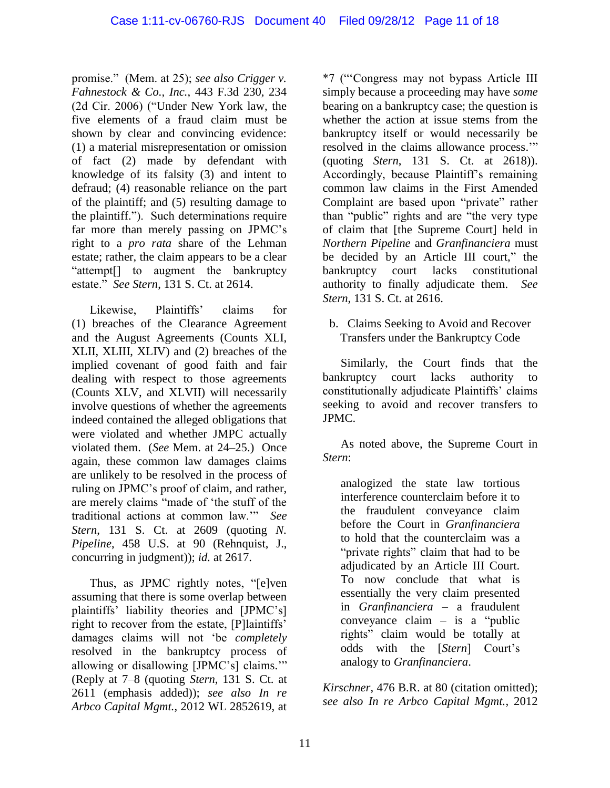promise." (Mem. at 25); *see also Crigger v. Fahnestock & Co., Inc.*, 443 F.3d 230, 234 (2d Cir. 2006) ("Under New York law, the five elements of a fraud claim must be shown by clear and convincing evidence: (1) a material misrepresentation or omission of fact (2) made by defendant with knowledge of its falsity (3) and intent to defraud; (4) reasonable reliance on the part of the plaintiff; and (5) resulting damage to the plaintiff."). Such determinations require far more than merely passing on JPMC's right to a *pro rata* share of the Lehman estate; rather, the claim appears to be a clear "attempt[] to augment the bankruptcy estate." *See Stern*, 131 S. Ct. at 2614.

Likewise, Plaintiffs' claims for (1) breaches of the Clearance Agreement and the August Agreements (Counts XLI, XLII, XLIII, XLIV) and (2) breaches of the implied covenant of good faith and fair dealing with respect to those agreements (Counts XLV, and XLVII) will necessarily involve questions of whether the agreements indeed contained the alleged obligations that were violated and whether JMPC actually violated them. (*See* Mem. at 24–25.) Once again, these common law damages claims are unlikely to be resolved in the process of ruling on JPMC's proof of claim, and rather, are merely claims "made of 'the stuff of the traditional actions at common law.'" *See Stern*, 131 S. Ct. at 2609 (quoting *N. Pipeline*, 458 U.S. at 90 (Rehnquist, J., concurring in judgment)); *id.* at 2617.

Thus, as JPMC rightly notes, "[e]ven assuming that there is some overlap between plaintiffs' liability theories and [JPMC's] right to recover from the estate, [P]laintiffs' damages claims will not 'be *completely*  resolved in the bankruptcy process of allowing or disallowing [JPMC's] claims.'" (Reply at 7–8 (quoting *Stern*, 131 S. Ct. at 2611 (emphasis added)); *see also In re Arbco Capital Mgmt.*, 2012 WL 2852619, at \*7 ("'Congress may not bypass Article III simply because a proceeding may have *some* bearing on a bankruptcy case; the question is whether the action at issue stems from the bankruptcy itself or would necessarily be resolved in the claims allowance process.'" (quoting *Stern*, 131 S. Ct. at 2618)). Accordingly, because Plaintiff's remaining common law claims in the First Amended Complaint are based upon "private" rather than "public" rights and are "the very type of claim that [the Supreme Court] held in *Northern Pipeline* and *Granfinanciera* must be decided by an Article III court," the bankruptcy court lacks constitutional authority to finally adjudicate them. *See Stern*, 131 S. Ct. at 2616.

#### b. Claims Seeking to Avoid and Recover Transfers under the Bankruptcy Code

Similarly, the Court finds that the bankruptcy court lacks authority to constitutionally adjudicate Plaintiffs' claims seeking to avoid and recover transfers to JPMC.

As noted above, the Supreme Court in *Stern*:

analogized the state law tortious interference counterclaim before it to the fraudulent conveyance claim before the Court in *Granfinanciera* to hold that the counterclaim was a "private rights" claim that had to be adjudicated by an Article III Court. To now conclude that what is essentially the very claim presented in *Granfinanciera* – a fraudulent conveyance claim – is a "public rights" claim would be totally at odds with the [*Stern*] Court's analogy to *Granfinanciera*.

*Kirschner*, 476 B.R. at 80 (citation omitted); *see also In re Arbco Capital Mgmt.*, 2012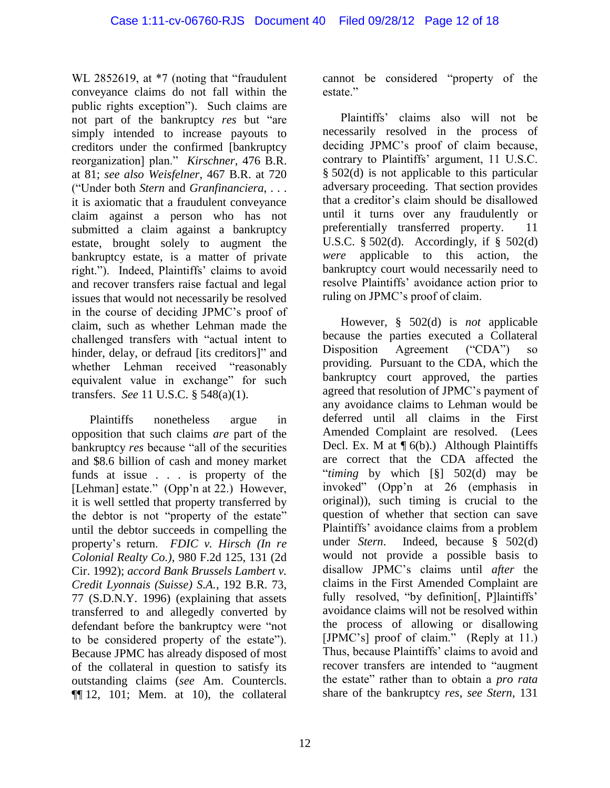WL 2852619, at  $*7$  (noting that "fraudulent" conveyance claims do not fall within the public rights exception"). Such claims are not part of the bankruptcy *res* but "are simply intended to increase payouts to creditors under the confirmed [bankruptcy reorganization] plan." *Kirschner*, 476 B.R. at 81; *see also Weisfelner*, 467 B.R. at 720 ("Under both *Stern* and *Granfinanciera*, . . . it is axiomatic that a fraudulent conveyance claim against a person who has not submitted a claim against a bankruptcy estate, brought solely to augment the bankruptcy estate, is a matter of private right."). Indeed, Plaintiffs' claims to avoid and recover transfers raise factual and legal issues that would not necessarily be resolved in the course of deciding JPMC's proof of claim, such as whether Lehman made the challenged transfers with "actual intent to hinder, delay, or defraud [its creditors]" and whether Lehman received "reasonably equivalent value in exchange" for such transfers. *See* 11 U.S.C. § 548(a)(1).

Plaintiffs nonetheless argue in opposition that such claims *are* part of the bankruptcy *res* because "all of the securities and \$8.6 billion of cash and money market funds at issue . . . is property of the [Lehman] estate." (Opp'n at 22.) However, it is well settled that property transferred by the debtor is not "property of the estate" until the debtor succeeds in compelling the property's return. *FDIC v. Hirsch (In re Colonial Realty Co.)*, 980 F.2d 125, 131 (2d Cir. 1992); *accord Bank Brussels Lambert v. Credit Lyonnais (Suisse) S.A.*, 192 B.R. 73, 77 (S.D.N.Y. 1996) (explaining that assets transferred to and allegedly converted by defendant before the bankruptcy were "not to be considered property of the estate"). Because JPMC has already disposed of most of the collateral in question to satisfy its outstanding claims (*see* Am. Countercls. ¶¶ 12, 101; Mem. at 10), the collateral cannot be considered "property of the estate"

Plaintiffs' claims also will not be necessarily resolved in the process of deciding JPMC's proof of claim because, contrary to Plaintiffs' argument, 11 U.S.C. § 502(d) is not applicable to this particular adversary proceeding. That section provides that a creditor's claim should be disallowed until it turns over any fraudulently or preferentially transferred property. 11 U.S.C.  $\S$  502(d). Accordingly, if  $\S$  502(d) *were* applicable to this action, the bankruptcy court would necessarily need to resolve Plaintiffs' avoidance action prior to ruling on JPMC's proof of claim.

However, § 502(d) is *not* applicable because the parties executed a Collateral Disposition Agreement ("CDA") so providing. Pursuant to the CDA, which the bankruptcy court approved, the parties agreed that resolution of JPMC's payment of any avoidance claims to Lehman would be deferred until all claims in the First Amended Complaint are resolved. (Lees Decl. Ex. M at  $\P$  6(b).) Although Plaintiffs are correct that the CDA affected the "*timing* by which [§] 502(d) may be invoked" (Opp'n at 26 (emphasis in original)), such timing is crucial to the question of whether that section can save Plaintiffs' avoidance claims from a problem under *Stern*. Indeed, because § 502(d) would not provide a possible basis to disallow JPMC's claims until *after* the claims in the First Amended Complaint are fully resolved, "by definition[, P]laintiffs' avoidance claims will not be resolved within the process of allowing or disallowing [JPMC's] proof of claim." (Reply at 11.) Thus, because Plaintiffs' claims to avoid and recover transfers are intended to "augment the estate" rather than to obtain a *pro rata* share of the bankruptcy *res*, *see Stern*, 131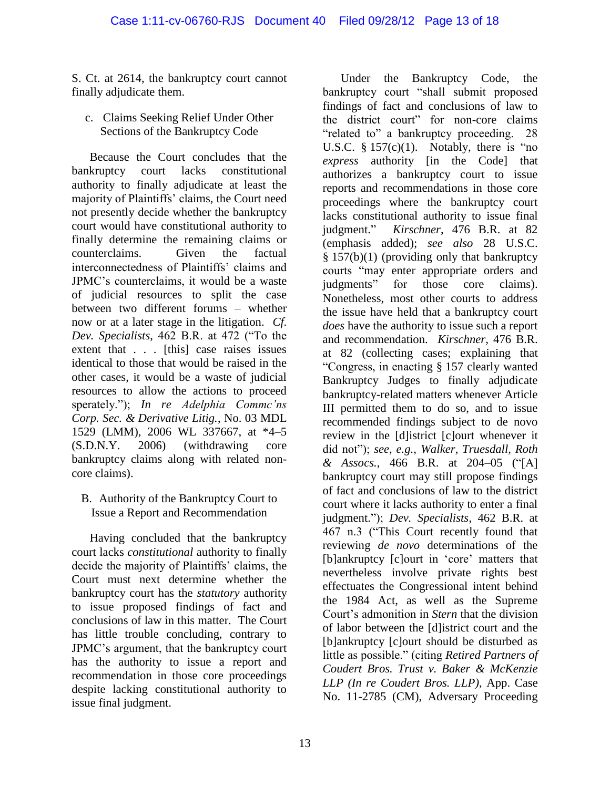S. Ct. at 2614, the bankruptcy court cannot finally adjudicate them.

c. Claims Seeking Relief Under Other Sections of the Bankruptcy Code

Because the Court concludes that the bankruptcy court lacks constitutional authority to finally adjudicate at least the majority of Plaintiffs' claims, the Court need not presently decide whether the bankruptcy court would have constitutional authority to finally determine the remaining claims or counterclaims. Given the factual interconnectedness of Plaintiffs' claims and JPMC's counterclaims, it would be a waste of judicial resources to split the case between two different forums – whether now or at a later stage in the litigation. *Cf. Dev. Specialists*, 462 B.R. at 472 ("To the extent that . . . [this] case raises issues identical to those that would be raised in the other cases, it would be a waste of judicial resources to allow the actions to proceed sperately."); *In re Adelphia Commc'ns Corp. Sec. & Derivative Litig.*, No. 03 MDL 1529 (LMM), 2006 WL 337667, at \*4–5 (S.D.N.Y. 2006) (withdrawing core bankruptcy claims along with related noncore claims).

B. Authority of the Bankruptcy Court to Issue a Report and Recommendation

Having concluded that the bankruptcy court lacks *constitutional* authority to finally decide the majority of Plaintiffs' claims, the Court must next determine whether the bankruptcy court has the *statutory* authority to issue proposed findings of fact and conclusions of law in this matter. The Court has little trouble concluding, contrary to JPMC's argument, that the bankruptcy court has the authority to issue a report and recommendation in those core proceedings despite lacking constitutional authority to issue final judgment.

Under the Bankruptcy Code, the bankruptcy court "shall submit proposed findings of fact and conclusions of law to the district court" for non-core claims "related to" a bankruptcy proceeding. 28 U.S.C.  $§ 157(c)(1)$ . Notably, there is "no *express* authority [in the Code] that authorizes a bankruptcy court to issue reports and recommendations in those core proceedings where the bankruptcy court lacks constitutional authority to issue final judgment." *Kirschner*, 476 B.R. at 82 (emphasis added); *see also* 28 U.S.C.  $§ 157(b)(1)$  (providing only that bankruptcy courts "may enter appropriate orders and judgments" for those core claims). Nonetheless, most other courts to address the issue have held that a bankruptcy court *does* have the authority to issue such a report and recommendation. *Kirschner*, 476 B.R. at 82 (collecting cases; explaining that "Congress, in enacting § 157 clearly wanted Bankruptcy Judges to finally adjudicate bankruptcy-related matters whenever Article III permitted them to do so, and to issue recommended findings subject to de novo review in the [d]istrict [c]ourt whenever it did not"); *see, e.g.*, *Walker, Truesdall, Roth & Assocs.*, 466 B.R. at 204–05 ("[A] bankruptcy court may still propose findings of fact and conclusions of law to the district court where it lacks authority to enter a final judgment."); *Dev. Specialists*, 462 B.R. at 467 n.3 ("This Court recently found that reviewing *de novo* determinations of the [b]ankruptcy [c]ourt in 'core' matters that nevertheless involve private rights best effectuates the Congressional intent behind the 1984 Act, as well as the Supreme Court's admonition in *Stern* that the division of labor between the [d]istrict court and the [b]ankruptcy [c]ourt should be disturbed as little as possible." (citing *Retired Partners of Coudert Bros. Trust v. Baker & McKenzie LLP (In re Coudert Bros. LLP)*, App. Case No. 11-2785 (CM), Adversary Proceeding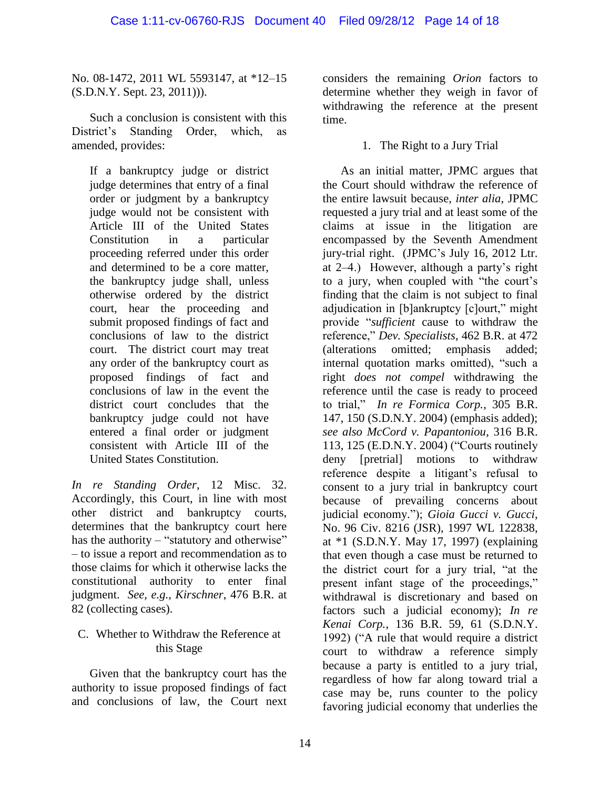No. 08-1472, 2011 WL 5593147, at \*12–15 (S.D.N.Y. Sept. 23, 2011))).

Such a conclusion is consistent with this District's Standing Order, which, as amended, provides:

If a bankruptcy judge or district judge determines that entry of a final order or judgment by a bankruptcy judge would not be consistent with Article III of the United States Constitution in a particular proceeding referred under this order and determined to be a core matter, the bankruptcy judge shall, unless otherwise ordered by the district court, hear the proceeding and submit proposed findings of fact and conclusions of law to the district court. The district court may treat any order of the bankruptcy court as proposed findings of fact and conclusions of law in the event the district court concludes that the bankruptcy judge could not have entered a final order or judgment consistent with Article III of the United States Constitution.

*In re Standing Order*, 12 Misc. 32. Accordingly, this Court, in line with most other district and bankruptcy courts, determines that the bankruptcy court here has the authority – "statutory and otherwise" – to issue a report and recommendation as to those claims for which it otherwise lacks the constitutional authority to enter final judgment. *See, e.g.*, *Kirschner*, 476 B.R. at 82 (collecting cases).

### C. Whether to Withdraw the Reference at this Stage

Given that the bankruptcy court has the authority to issue proposed findings of fact and conclusions of law, the Court next considers the remaining *Orion* factors to determine whether they weigh in favor of withdrawing the reference at the present time.

#### 1. The Right to a Jury Trial

As an initial matter, JPMC argues that the Court should withdraw the reference of the entire lawsuit because, *inter alia*, JPMC requested a jury trial and at least some of the claims at issue in the litigation are encompassed by the Seventh Amendment jury-trial right. (JPMC's July 16, 2012 Ltr. at 2–4.) However, although a party's right to a jury, when coupled with "the court's finding that the claim is not subject to final adjudication in [b]ankruptcy [c]ourt," might provide "*sufficient* cause to withdraw the reference," *Dev. Specialists*, 462 B.R. at 472 (alterations omitted; emphasis added; internal quotation marks omitted), "such a right *does not compel* withdrawing the reference until the case is ready to proceed to trial," *In re Formica Corp.*, 305 B.R. 147, 150 (S.D.N.Y. 2004) (emphasis added); *see also McCord v. Papantoniou*, 316 B.R. 113, 125 (E.D.N.Y. 2004) ("Courts routinely deny [pretrial] motions to withdraw reference despite a litigant's refusal to consent to a jury trial in bankruptcy court because of prevailing concerns about judicial economy."); *Gioia Gucci v. Gucci*, No. 96 Civ. 8216 (JSR), 1997 WL 122838, at \*1 (S.D.N.Y. May 17, 1997) (explaining that even though a case must be returned to the district court for a jury trial, "at the present infant stage of the proceedings," withdrawal is discretionary and based on factors such a judicial economy); *In re Kenai Corp.*, 136 B.R. 59, 61 (S.D.N.Y. 1992) ("A rule that would require a district court to withdraw a reference simply because a party is entitled to a jury trial, regardless of how far along toward trial a case may be, runs counter to the policy favoring judicial economy that underlies the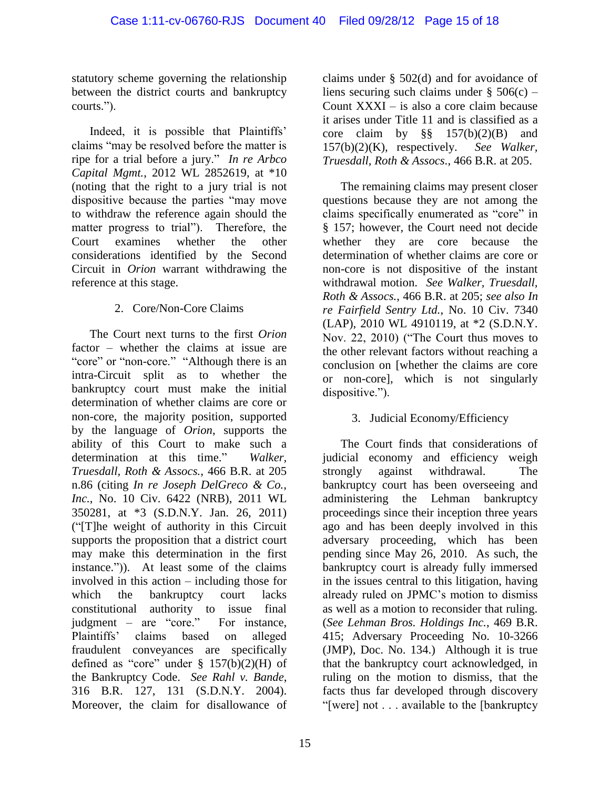statutory scheme governing the relationship between the district courts and bankruptcy courts.").

Indeed, it is possible that Plaintiffs' claims "may be resolved before the matter is ripe for a trial before a jury." *In re Arbco Capital Mgmt.*, 2012 WL 2852619, at \*10 (noting that the right to a jury trial is not dispositive because the parties "may move to withdraw the reference again should the matter progress to trial"). Therefore, the Court examines whether the other considerations identified by the Second Circuit in *Orion* warrant withdrawing the reference at this stage.

# 2. Core/Non-Core Claims

The Court next turns to the first *Orion* factor – whether the claims at issue are "core" or "non-core." "Although there is an intra-Circuit split as to whether the bankruptcy court must make the initial determination of whether claims are core or non-core, the majority position, supported by the language of *Orion*, supports the ability of this Court to make such a determination at this time." *Walker, Truesdall, Roth & Assocs.*, 466 B.R. at 205 n.86 (citing *In re Joseph DelGreco & Co., Inc.*, No. 10 Civ. 6422 (NRB), 2011 WL 350281, at \*3 (S.D.N.Y. Jan. 26, 2011) ("[T]he weight of authority in this Circuit supports the proposition that a district court may make this determination in the first instance.")). At least some of the claims involved in this action – including those for which the bankruptcy court lacks constitutional authority to issue final judgment – are "core." For instance, Plaintiffs' claims based on alleged fraudulent conveyances are specifically defined as "core" under  $\S$  157(b)(2)(H) of the Bankruptcy Code. *See Rahl v. Bande*, 316 B.R. 127, 131 (S.D.N.Y. 2004). Moreover, the claim for disallowance of

claims under § 502(d) and for avoidance of liens securing such claims under  $\S 506(c)$  – Count XXXI – is also a core claim because it arises under Title 11 and is classified as a core claim by  $\S\S$  157(b)(2)(B) and 157(b)(2)(K), respectively. *See Walker, Truesdall, Roth & Assocs.*, 466 B.R. at 205.

The remaining claims may present closer questions because they are not among the claims specifically enumerated as "core" in § 157; however, the Court need not decide whether they are core because the determination of whether claims are core or non-core is not dispositive of the instant withdrawal motion. *See Walker, Truesdall, Roth & Assocs.*, 466 B.R. at 205; *see also In re Fairfield Sentry Ltd.*, No. 10 Civ. 7340 (LAP), 2010 WL 4910119, at \*2 (S.D.N.Y. Nov. 22, 2010) ("The Court thus moves to the other relevant factors without reaching a conclusion on [whether the claims are core or non-core], which is not singularly dispositive.").

# 3. Judicial Economy/Efficiency

The Court finds that considerations of judicial economy and efficiency weigh strongly against withdrawal. The bankruptcy court has been overseeing and administering the Lehman bankruptcy proceedings since their inception three years ago and has been deeply involved in this adversary proceeding, which has been pending since May 26, 2010. As such, the bankruptcy court is already fully immersed in the issues central to this litigation, having already ruled on JPMC's motion to dismiss as well as a motion to reconsider that ruling. (*See Lehman Bros. Holdings Inc.*, 469 B.R. 415; Adversary Proceeding No. 10-3266 (JMP), Doc. No. 134.) Although it is true that the bankruptcy court acknowledged, in ruling on the motion to dismiss, that the facts thus far developed through discovery "[were] not . . . available to the [bankruptcy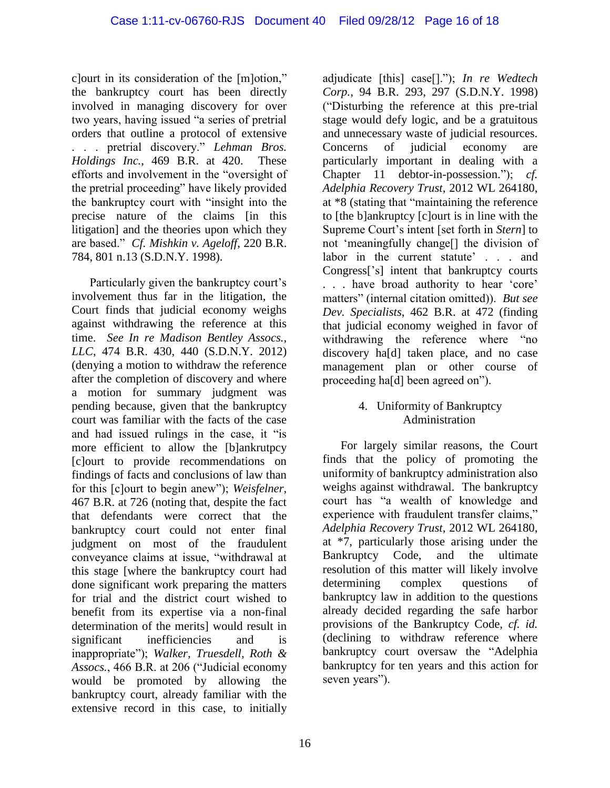c]ourt in its consideration of the [m]otion," the bankruptcy court has been directly involved in managing discovery for over two years, having issued "a series of pretrial orders that outline a protocol of extensive . . . pretrial discovery." *Lehman Bros. Holdings Inc.*, 469 B.R. at 420. These efforts and involvement in the "oversight of the pretrial proceeding" have likely provided the bankruptcy court with "insight into the precise nature of the claims [in this litigation] and the theories upon which they are based." *Cf. Mishkin v. Ageloff*, 220 B.R. 784, 801 n.13 (S.D.N.Y. 1998).

Particularly given the bankruptcy court's involvement thus far in the litigation, the Court finds that judicial economy weighs against withdrawing the reference at this time. *See In re Madison Bentley Assocs., LLC*, 474 B.R. 430, 440 (S.D.N.Y. 2012) (denying a motion to withdraw the reference after the completion of discovery and where a motion for summary judgment was pending because, given that the bankruptcy court was familiar with the facts of the case and had issued rulings in the case, it "is more efficient to allow the [b]ankrutpcy [c]ourt to provide recommendations on findings of facts and conclusions of law than for this [c]ourt to begin anew"); *Weisfelner*, 467 B.R. at 726 (noting that, despite the fact that defendants were correct that the bankruptcy court could not enter final judgment on most of the fraudulent conveyance claims at issue, "withdrawal at this stage [where the bankruptcy court had done significant work preparing the matters for trial and the district court wished to benefit from its expertise via a non-final determination of the merits] would result in significant inefficiencies and is inappropriate"); *Walker, Truesdell, Roth & Assocs.*, 466 B.R. at 206 ("Judicial economy would be promoted by allowing the bankruptcy court, already familiar with the extensive record in this case, to initially

adjudicate [this] case[]."); *In re Wedtech Corp.*, 94 B.R. 293, 297 (S.D.N.Y. 1998) ("Disturbing the reference at this pre-trial stage would defy logic, and be a gratuitous and unnecessary waste of judicial resources. Concerns of judicial economy are particularly important in dealing with a Chapter 11 debtor-in-possession."); *cf. Adelphia Recovery Trust*, 2012 WL 264180, at \*8 (stating that "maintaining the reference to [the b]ankruptcy [c]ourt is in line with the Supreme Court's intent [set forth in *Stern*] to not 'meaningfully change[] the division of labor in the current statute' . . . and Congress['s] intent that bankruptcy courts . . . have broad authority to hear 'core' matters" (internal citation omitted)). *But see Dev. Specialists*, 462 B.R. at 472 (finding that judicial economy weighed in favor of withdrawing the reference where "no discovery ha[d] taken place, and no case management plan or other course of proceeding ha[d] been agreed on").

### 4. Uniformity of Bankruptcy Administration

For largely similar reasons, the Court finds that the policy of promoting the uniformity of bankruptcy administration also weighs against withdrawal. The bankruptcy court has "a wealth of knowledge and experience with fraudulent transfer claims," *Adelphia Recovery Trust*, 2012 WL 264180, at \*7, particularly those arising under the Bankruptcy Code, and the ultimate resolution of this matter will likely involve determining complex questions of bankruptcy law in addition to the questions already decided regarding the safe harbor provisions of the Bankruptcy Code, *cf. id.* (declining to withdraw reference where bankruptcy court oversaw the "Adelphia bankruptcy for ten years and this action for seven years").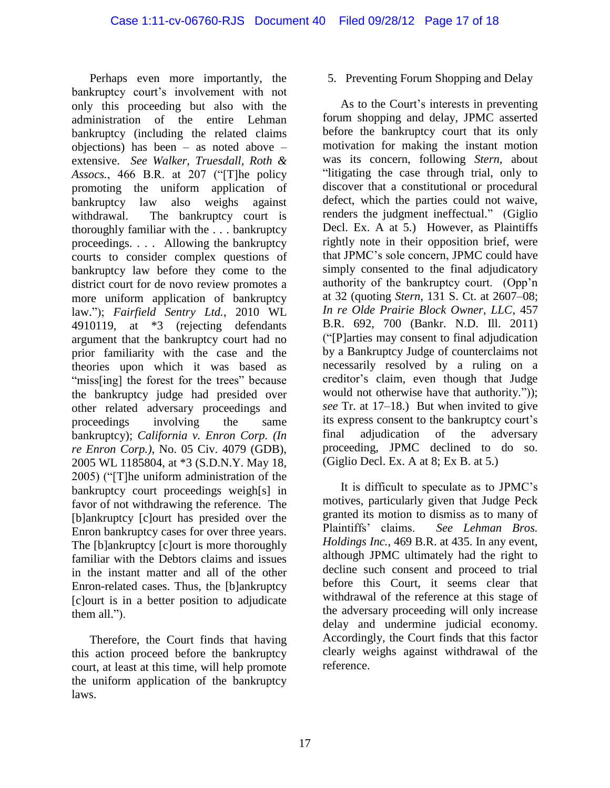Perhaps even more importantly, the bankruptcy court's involvement with not only this proceeding but also with the administration of the entire Lehman bankruptcy (including the related claims objections) has been – as noted above – extensive. *See Walker, Truesdall, Roth & Assocs.*, 466 B.R. at 207 ("[T]he policy promoting the uniform application of bankruptcy law also weighs against withdrawal. The bankruptcy court is thoroughly familiar with the . . . bankruptcy proceedings. . . . Allowing the bankruptcy courts to consider complex questions of bankruptcy law before they come to the district court for de novo review promotes a more uniform application of bankruptcy law."); *Fairfield Sentry Ltd.*, 2010 WL 4910119, at \*3 (rejecting defendants argument that the bankruptcy court had no prior familiarity with the case and the theories upon which it was based as "miss[ing] the forest for the trees" because the bankruptcy judge had presided over other related adversary proceedings and proceedings involving the same bankruptcy); *California v. Enron Corp. (In re Enron Corp.)*, No. 05 Civ. 4079 (GDB), 2005 WL 1185804, at \*3 (S.D.N.Y. May 18, 2005) ("[T]he uniform administration of the bankruptcy court proceedings weigh[s] in favor of not withdrawing the reference. The [b]ankruptcy [c]ourt has presided over the Enron bankruptcy cases for over three years. The [b]ankruptcy [c]ourt is more thoroughly familiar with the Debtors claims and issues in the instant matter and all of the other Enron-related cases. Thus, the [b]ankruptcy [c]ourt is in a better position to adjudicate them all.").

Therefore, the Court finds that having this action proceed before the bankruptcy court, at least at this time, will help promote the uniform application of the bankruptcy laws.

5. Preventing Forum Shopping and Delay

As to the Court's interests in preventing forum shopping and delay, JPMC asserted before the bankruptcy court that its only motivation for making the instant motion was its concern, following *Stern*, about "litigating the case through trial, only to discover that a constitutional or procedural defect, which the parties could not waive, renders the judgment ineffectual." (Giglio Decl. Ex. A at 5.) However, as Plaintiffs rightly note in their opposition brief, were that JPMC's sole concern, JPMC could have simply consented to the final adjudicatory authority of the bankruptcy court. (Opp'n at 32 (quoting *Stern*, 131 S. Ct. at 2607–08; *In re Olde Prairie Block Owner, LLC*, 457 B.R. 692, 700 (Bankr. N.D. Ill. 2011) ("[P]arties may consent to final adjudication by a Bankruptcy Judge of counterclaims not necessarily resolved by a ruling on a creditor's claim, even though that Judge would not otherwise have that authority.")); *see* Tr. at 17–18.) But when invited to give its express consent to the bankruptcy court's final adjudication of the adversary proceeding, JPMC declined to do so. (Giglio Decl. Ex. A at 8; Ex B. at 5.)

It is difficult to speculate as to JPMC's motives, particularly given that Judge Peck granted its motion to dismiss as to many of Plaintiffs' claims. *See Lehman Bros. Holdings Inc.*, 469 B.R. at 435. In any event, although JPMC ultimately had the right to decline such consent and proceed to trial before this Court, it seems clear that withdrawal of the reference at this stage of the adversary proceeding will only increase delay and undermine judicial economy. Accordingly, the Court finds that this factor clearly weighs against withdrawal of the reference.